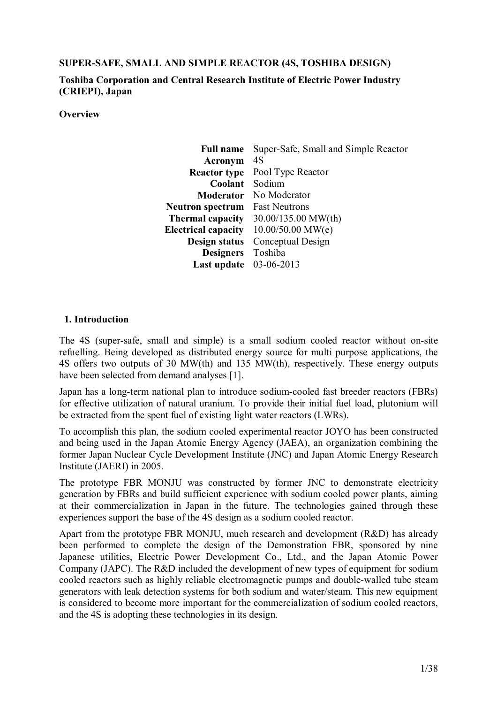### **SUPER-SAFE, SMALL AND SIMPLE REACTOR (4S, TOSHIBA DESIGN)**

**Toshiba Corporation and Central Research Institute of Electric Power Industry (CRIEPI), Japan** 

**Overview** 

| <b>Full name</b>           | Super-Safe, Small and Simple Reactor |
|----------------------------|--------------------------------------|
| Acronym                    | 4S                                   |
| <b>Reactor type</b>        | Pool Type Reactor                    |
| Coolant                    | Sodium                               |
| <b>Moderator</b>           | No Moderator                         |
| <b>Neutron spectrum</b>    | <b>Fast Neutrons</b>                 |
| <b>Thermal capacity</b>    | 30.00/135.00 MW(th)                  |
| <b>Electrical capacity</b> | $10.00/50.00$ MW(e)                  |
| Design status              | Conceptual Design                    |
| <b>Designers</b>           | Toshiba                              |
| Last update                | 03-06-2013                           |

### **1. Introduction**

The 4S (super-safe, small and simple) is a small sodium cooled reactor without on-site refuelling. Being developed as distributed energy source for multi purpose applications, the 4S offers two outputs of 30 MW(th) and 135 MW(th), respectively. These energy outputs have been selected from demand analyses [1].

Japan has a long-term national plan to introduce sodium-cooled fast breeder reactors (FBRs) for effective utilization of natural uranium. To provide their initial fuel load, plutonium will be extracted from the spent fuel of existing light water reactors (LWRs).

To accomplish this plan, the sodium cooled experimental reactor JOYO has been constructed and being used in the Japan Atomic Energy Agency (JAEA), an organization combining the former Japan Nuclear Cycle Development Institute (JNC) and Japan Atomic Energy Research Institute (JAERI) in 2005.

The prototype FBR MONJU was constructed by former JNC to demonstrate electricity generation by FBRs and build sufficient experience with sodium cooled power plants, aiming at their commercialization in Japan in the future. The technologies gained through these experiences support the base of the 4S design as a sodium cooled reactor.

Apart from the prototype FBR MONJU, much research and development (R&D) has already been performed to complete the design of the Demonstration FBR, sponsored by nine Japanese utilities, Electric Power Development Co., Ltd., and the Japan Atomic Power Company (JAPC). The R&D included the development of new types of equipment for sodium cooled reactors such as highly reliable electromagnetic pumps and double-walled tube steam generators with leak detection systems for both sodium and water/steam. This new equipment is considered to become more important for the commercialization of sodium cooled reactors, and the 4S is adopting these technologies in its design.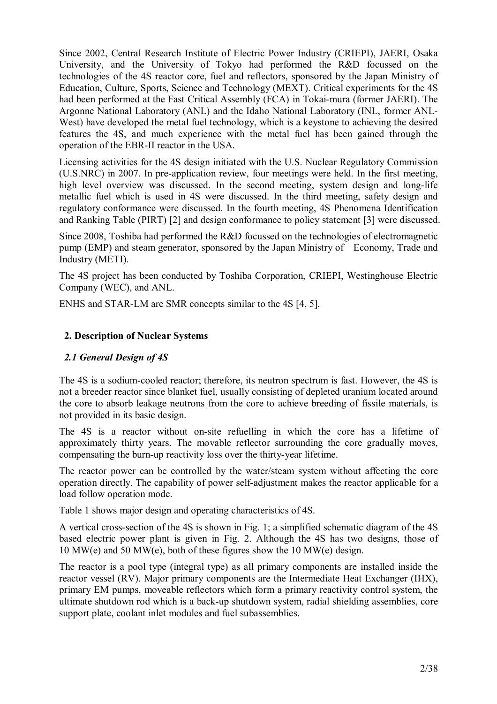Since 2002, Central Research Institute of Electric Power Industry (CRIEPI), JAERI, Osaka University, and the University of Tokyo had performed the R&D focussed on the technologies of the 4S reactor core, fuel and reflectors, sponsored by the Japan Ministry of Education, Culture, Sports, Science and Technology (MEXT). Critical experiments for the 4S had been performed at the Fast Critical Assembly (FCA) in Tokai-mura (former JAERI). The Argonne National Laboratory (ANL) and the Idaho National Laboratory (INL, former ANL-West) have developed the metal fuel technology, which is a keystone to achieving the desired features the 4S, and much experience with the metal fuel has been gained through the operation of the EBR-II reactor in the USA.

Licensing activities for the 4S design initiated with the U.S. Nuclear Regulatory Commission (U.S.NRC) in 2007. In pre-application review, four meetings were held. In the first meeting, high level overview was discussed. In the second meeting, system design and long-life metallic fuel which is used in 4S were discussed. In the third meeting, safety design and regulatory conformance were discussed. In the fourth meeting, 4S Phenomena Identification and Ranking Table (PIRT) [2] and design conformance to policy statement [3] were discussed.

Since 2008, Toshiba had performed the R&D focussed on the technologies of electromagnetic pump (EMP) and steam generator, sponsored by the Japan Ministry of Economy, Trade and Industry (METI).

The 4S project has been conducted by Toshiba Corporation, CRIEPI, Westinghouse Electric Company (WEC), and ANL.

ENHS and STAR-LM are SMR concepts similar to the 4S [4, 5].

# **2. Description of Nuclear Systems**

# *2.1 General Design of 4S*

The 4S is a sodium-cooled reactor; therefore, its neutron spectrum is fast. However, the 4S is not a breeder reactor since blanket fuel, usually consisting of depleted uranium located around the core to absorb leakage neutrons from the core to achieve breeding of fissile materials, is not provided in its basic design.

The 4S is a reactor without on-site refuelling in which the core has a lifetime of approximately thirty years. The movable reflector surrounding the core gradually moves, compensating the burn-up reactivity loss over the thirty-year lifetime.

The reactor power can be controlled by the water/steam system without affecting the core operation directly. The capability of power self-adjustment makes the reactor applicable for a load follow operation mode.

Table 1 shows major design and operating characteristics of 4S.

A vertical cross-section of the 4S is shown in Fig. 1; a simplified schematic diagram of the 4S based electric power plant is given in Fig. 2. Although the 4S has two designs, those of 10 MW(e) and 50 MW(e), both of these figures show the 10 MW(e) design.

The reactor is a pool type (integral type) as all primary components are installed inside the reactor vessel (RV). Major primary components are the Intermediate Heat Exchanger (IHX), primary EM pumps, moveable reflectors which form a primary reactivity control system, the ultimate shutdown rod which is a back-up shutdown system, radial shielding assemblies, core support plate, coolant inlet modules and fuel subassemblies.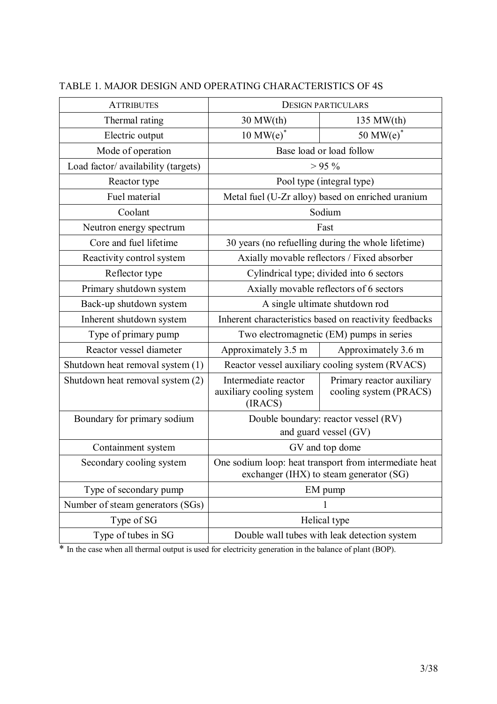| <b>ATTRIBUTES</b>                   | <b>DESIGN PARTICULARS</b>                                                                         |                                                     |
|-------------------------------------|---------------------------------------------------------------------------------------------------|-----------------------------------------------------|
| Thermal rating                      | $30$ MW $(th)$<br>$135$ MW $(th)$                                                                 |                                                     |
| Electric output                     | $10$ MW(e) <sup>*</sup>                                                                           | 50 MW $(e)$ <sup>*</sup>                            |
| Mode of operation                   |                                                                                                   | Base load or load follow                            |
| Load factor/ availability (targets) |                                                                                                   | $> 95\%$                                            |
| Reactor type                        |                                                                                                   | Pool type (integral type)                           |
| Fuel material                       |                                                                                                   | Metal fuel (U-Zr alloy) based on enriched uranium   |
| Coolant                             |                                                                                                   | Sodium                                              |
| Neutron energy spectrum             |                                                                                                   | Fast                                                |
| Core and fuel lifetime              |                                                                                                   | 30 years (no refuelling during the whole lifetime)  |
| Reactivity control system           |                                                                                                   | Axially movable reflectors / Fixed absorber         |
| Reflector type                      |                                                                                                   | Cylindrical type; divided into 6 sectors            |
| Primary shutdown system             | Axially movable reflectors of 6 sectors                                                           |                                                     |
| Back-up shutdown system             | A single ultimate shutdown rod                                                                    |                                                     |
| Inherent shutdown system            | Inherent characteristics based on reactivity feedbacks                                            |                                                     |
| Type of primary pump                | Two electromagnetic (EM) pumps in series                                                          |                                                     |
| Reactor vessel diameter             | Approximately 3.5 m<br>Approximately 3.6 m                                                        |                                                     |
| Shutdown heat removal system (1)    |                                                                                                   | Reactor vessel auxiliary cooling system (RVACS)     |
| Shutdown heat removal system (2)    | Intermediate reactor<br>auxiliary cooling system<br>(IRACS)                                       | Primary reactor auxiliary<br>cooling system (PRACS) |
| Boundary for primary sodium         |                                                                                                   | Double boundary: reactor vessel (RV)                |
|                                     |                                                                                                   | and guard vessel (GV)                               |
| Containment system                  | GV and top dome                                                                                   |                                                     |
| Secondary cooling system            | One sodium loop: heat transport from intermediate heat<br>exchanger (IHX) to steam generator (SG) |                                                     |
| Type of secondary pump              | EM pump                                                                                           |                                                     |
| Number of steam generators (SGs)    | 1                                                                                                 |                                                     |
| Type of SG                          | Helical type                                                                                      |                                                     |
| Type of tubes in SG                 | Double wall tubes with leak detection system                                                      |                                                     |

# TABLE 1. MAJOR DESIGN AND OPERATING CHARACTERISTICS OF 4S

\* In the case when all thermal output is used for electricity generation in the balance of plant (BOP).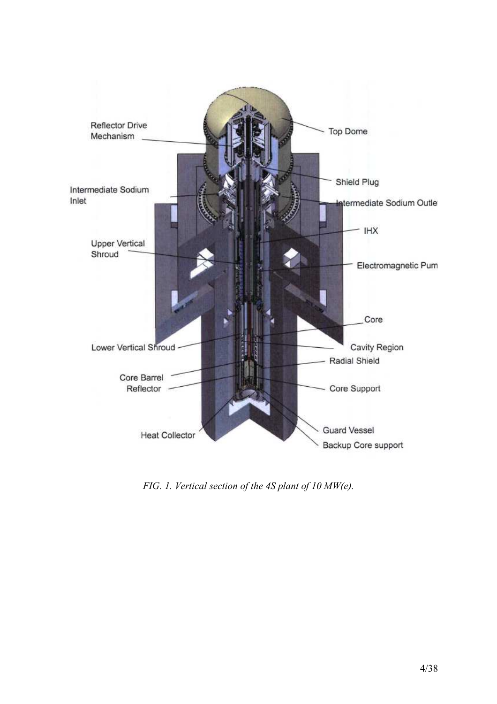

*FIG. 1. Vertical section of the 4S plant of 10 MW(e).*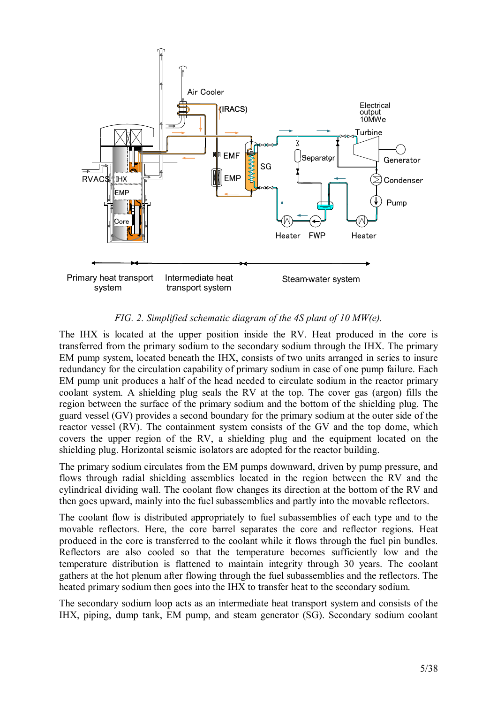

### *FIG. 2. Simplified schematic diagram of the 4S plant of 10 MW(e).*

The IHX is located at the upper position inside the RV. Heat produced in the core is transferred from the primary sodium to the secondary sodium through the IHX. The primary EM pump system, located beneath the IHX, consists of two units arranged in series to insure redundancy for the circulation capability of primary sodium in case of one pump failure. Each EM pump unit produces a half of the head needed to circulate sodium in the reactor primary coolant system. A shielding plug seals the RV at the top. The cover gas (argon) fills the region between the surface of the primary sodium and the bottom of the shielding plug. The guard vessel (GV) provides a second boundary for the primary sodium at the outer side of the reactor vessel (RV). The containment system consists of the GV and the top dome, which covers the upper region of the RV, a shielding plug and the equipment located on the shielding plug. Horizontal seismic isolators are adopted for the reactor building.

The primary sodium circulates from the EM pumps downward, driven by pump pressure, and flows through radial shielding assemblies located in the region between the RV and the cylindrical dividing wall. The coolant flow changes its direction at the bottom of the RV and then goes upward, mainly into the fuel subassemblies and partly into the movable reflectors.

The coolant flow is distributed appropriately to fuel subassemblies of each type and to the movable reflectors. Here, the core barrel separates the core and reflector regions. Heat produced in the core is transferred to the coolant while it flows through the fuel pin bundles. Reflectors are also cooled so that the temperature becomes sufficiently low and the temperature distribution is flattened to maintain integrity through 30 years. The coolant gathers at the hot plenum after flowing through the fuel subassemblies and the reflectors. The heated primary sodium then goes into the IHX to transfer heat to the secondary sodium.

The secondary sodium loop acts as an intermediate heat transport system and consists of the IHX, piping, dump tank, EM pump, and steam generator (SG). Secondary sodium coolant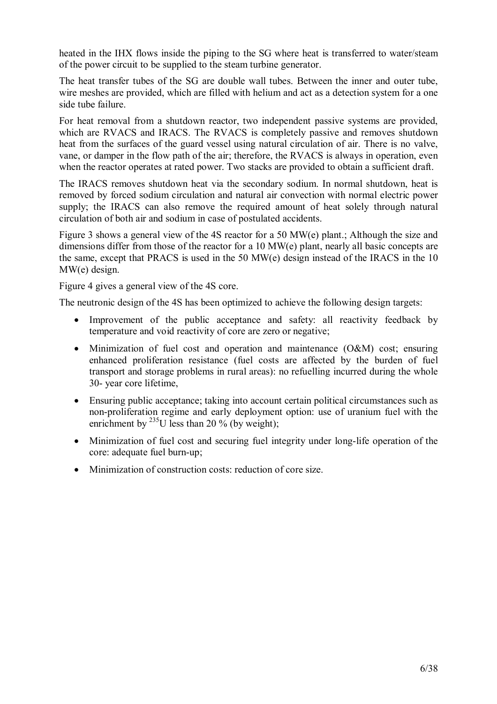heated in the IHX flows inside the piping to the SG where heat is transferred to water/steam of the power circuit to be supplied to the steam turbine generator.

The heat transfer tubes of the SG are double wall tubes. Between the inner and outer tube, wire meshes are provided, which are filled with helium and act as a detection system for a one side tube failure.

For heat removal from a shutdown reactor, two independent passive systems are provided, which are RVACS and IRACS. The RVACS is completely passive and removes shutdown heat from the surfaces of the guard vessel using natural circulation of air. There is no valve, vane, or damper in the flow path of the air; therefore, the RVACS is always in operation, even when the reactor operates at rated power. Two stacks are provided to obtain a sufficient draft.

The IRACS removes shutdown heat via the secondary sodium. In normal shutdown, heat is removed by forced sodium circulation and natural air convection with normal electric power supply; the IRACS can also remove the required amount of heat solely through natural circulation of both air and sodium in case of postulated accidents.

Figure 3 shows a general view of the 4S reactor for a 50 MW(e) plant.; Although the size and dimensions differ from those of the reactor for a 10 MW(e) plant, nearly all basic concepts are the same, except that PRACS is used in the 50 MW(e) design instead of the IRACS in the 10 MW(e) design.

Figure 4 gives a general view of the 4S core.

The neutronic design of the 4S has been optimized to achieve the following design targets:

- Improvement of the public acceptance and safety: all reactivity feedback by temperature and void reactivity of core are zero or negative;
- Minimization of fuel cost and operation and maintenance (O&M) cost; ensuring enhanced proliferation resistance (fuel costs are affected by the burden of fuel transport and storage problems in rural areas): no refuelling incurred during the whole 30- year core lifetime,
- Ensuring public acceptance; taking into account certain political circumstances such as non-proliferation regime and early deployment option: use of uranium fuel with the enrichment by  $^{235}$ U less than 20 % (by weight);
- Minimization of fuel cost and securing fuel integrity under long-life operation of the core: adequate fuel burn-up;
- Minimization of construction costs: reduction of core size.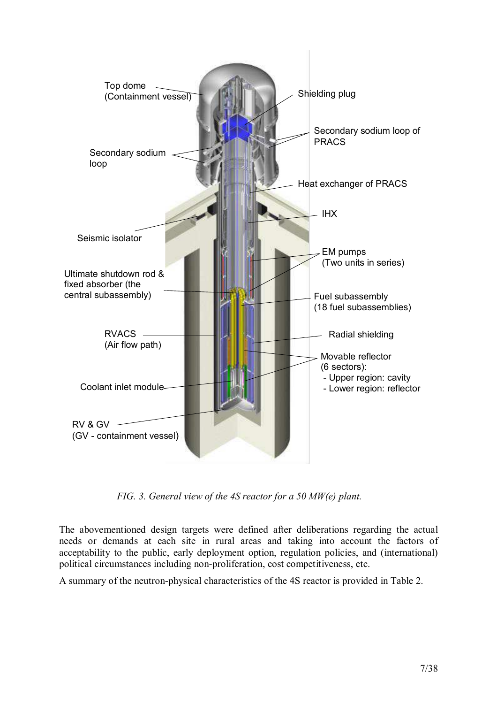

*FIG. 3. General view of the 4S reactor for a 50 MW(e) plant.* 

The abovementioned design targets were defined after deliberations regarding the actual needs or demands at each site in rural areas and taking into account the factors of acceptability to the public, early deployment option, regulation policies, and (international) political circumstances including non-proliferation, cost competitiveness, etc.

A summary of the neutron-physical characteristics of the 4S reactor is provided in Table 2.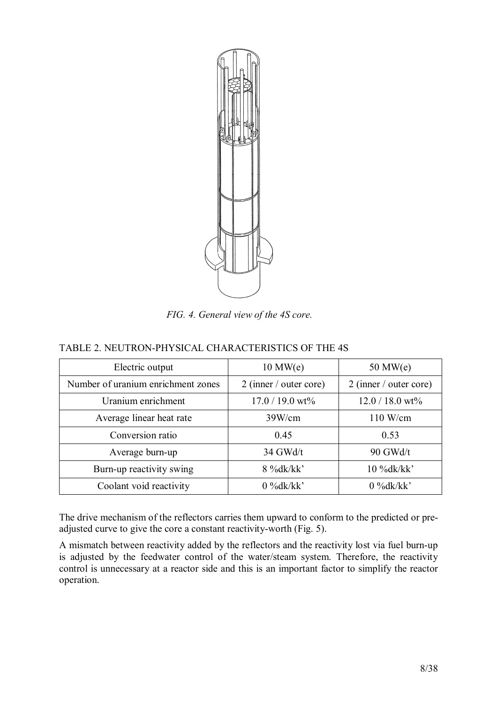

*FIG. 4. General view of the 4S core.* 

# TABLE 2. NEUTRON-PHYSICAL CHARACTERISTICS OF THE 4S

| Electric output                    | $10$ MW $(e)$            | $50$ MW $(e)$            |
|------------------------------------|--------------------------|--------------------------|
| Number of uranium enrichment zones | $2$ (inner / outer core) | $2$ (inner / outer core) |
| Uranium enrichment                 | $17.0 / 19.0$ wt%        | $12.0 / 18.0$ wt%        |
| Average linear heat rate           | 39W/cm                   | 110 W/cm                 |
| Conversion ratio                   | 0.45                     | 0.53                     |
| Average burn-up                    | 34 GWd/t                 | 90 GWd/t                 |
| Burn-up reactivity swing           | 8 %dk/kk'                | $10\%dk/kk'$             |
| Coolant void reactivity            | $0\%dk/kk'$              | $0\%dk/kk'$              |

The drive mechanism of the reflectors carries them upward to conform to the predicted or preadjusted curve to give the core a constant reactivity-worth (Fig. 5).

A mismatch between reactivity added by the reflectors and the reactivity lost via fuel burn-up is adjusted by the feedwater control of the water/steam system. Therefore, the reactivity control is unnecessary at a reactor side and this is an important factor to simplify the reactor operation.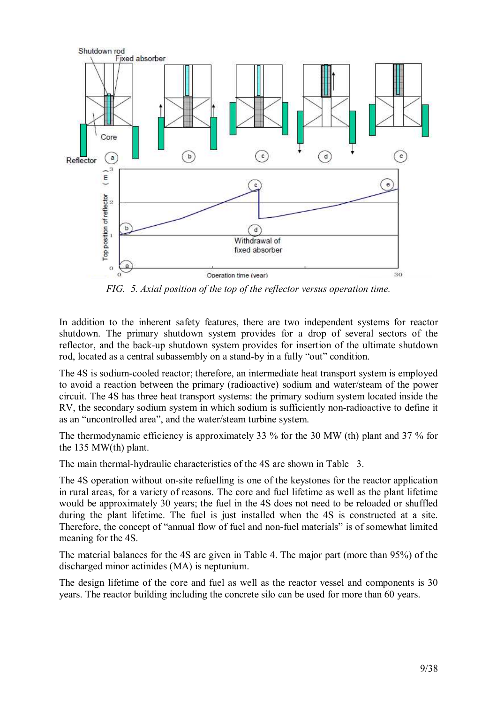

*FIG. 5. Axial position of the top of the reflector versus operation time.* 

In addition to the inherent safety features, there are two independent systems for reactor shutdown. The primary shutdown system provides for a drop of several sectors of the reflector, and the back-up shutdown system provides for insertion of the ultimate shutdown rod, located as a central subassembly on a stand-by in a fully "out" condition.

The 4S is sodium-cooled reactor; therefore, an intermediate heat transport system is employed to avoid a reaction between the primary (radioactive) sodium and water/steam of the power circuit. The 4S has three heat transport systems: the primary sodium system located inside the RV, the secondary sodium system in which sodium is sufficiently non-radioactive to define it as an "uncontrolled area", and the water/steam turbine system.

The thermodynamic efficiency is approximately 33 % for the 30 MW (th) plant and 37 % for the 135 MW(th) plant.

The main thermal-hydraulic characteristics of the 4S are shown in Table 3.

The 4S operation without on-site refuelling is one of the keystones for the reactor application in rural areas, for a variety of reasons. The core and fuel lifetime as well as the plant lifetime would be approximately 30 years; the fuel in the 4S does not need to be reloaded or shuffled during the plant lifetime. The fuel is just installed when the 4S is constructed at a site. Therefore, the concept of "annual flow of fuel and non-fuel materials" is of somewhat limited meaning for the 4S.

The material balances for the 4S are given in Table 4. The major part (more than 95%) of the discharged minor actinides (MA) is neptunium.

The design lifetime of the core and fuel as well as the reactor vessel and components is 30 years. The reactor building including the concrete silo can be used for more than 60 years.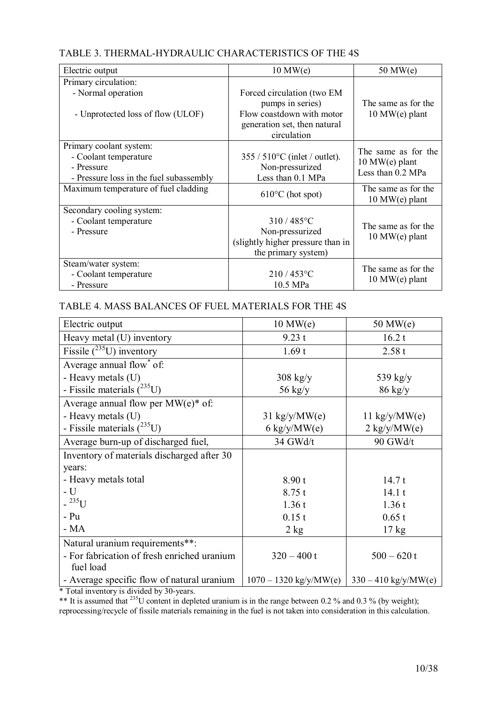# TABLE 3. THERMAL-HYDRAULIC CHARACTERISTICS OF THE 4S

| Electric output                                                                                           | $10$ MW $(e)$                                                                                                              | $50$ MW $(e)$                                                |
|-----------------------------------------------------------------------------------------------------------|----------------------------------------------------------------------------------------------------------------------------|--------------------------------------------------------------|
| Primary circulation:                                                                                      |                                                                                                                            |                                                              |
| - Normal operation<br>- Unprotected loss of flow (ULOF)                                                   | Forced circulation (two EM<br>pumps in series)<br>Flow coastdown with motor<br>generation set, then natural<br>circulation | The same as for the<br>$10$ MW(e) plant                      |
| Primary coolant system:<br>- Coolant temperature<br>- Pressure<br>- Pressure loss in the fuel subassembly | $355 / 510^{\circ}$ C (inlet / outlet).<br>Non-pressurized<br>Less than 0.1 MPa                                            | The same as for the<br>$10$ MW(e) plant<br>Less than 0.2 MPa |
| Maximum temperature of fuel cladding                                                                      | $610^{\circ}$ C (hot spot)                                                                                                 | The same as for the<br>$10$ MW(e) plant                      |
| Secondary cooling system:<br>- Coolant temperature<br>- Pressure                                          | 310/485°C<br>Non-pressurized<br>(slightly higher pressure than in<br>the primary system)                                   | The same as for the<br>$10$ MW(e) plant                      |
| Steam/water system:<br>- Coolant temperature<br>- Pressure                                                | $210/453^{\circ}$ C<br>10.5 MPa                                                                                            | The same as for the<br>$10$ MW(e) plant                      |

# TABLE 4. MASS BALANCES OF FUEL MATERIALS FOR THE 4S

| Electric output                                          | $10$ MW $(e)$                  | $50$ MW $(e)$                 |
|----------------------------------------------------------|--------------------------------|-------------------------------|
| Heavy metal (U) inventory                                | 9.23 t                         | 16.2 t                        |
| Fissile $\sqrt{^{235}U}$ ) inventory                     | 1.69t                          | 2.58t                         |
| Average annual flow* of:                                 |                                |                               |
| - Heavy metals (U)                                       | $308$ kg/y                     | 539 $\text{kg}/\text{y}$      |
| - Fissile materials $(^{235}U)$                          | 56 $\text{kg}/\text{y}$        | $86$ kg/y                     |
| Average annual flow per $MW(e)$ <sup>*</sup> of:         |                                |                               |
| - Heavy metals (U)                                       | $31 \text{ kg/y}/\text{MW}(e)$ | 11 kg/y/MW(e)                 |
| - Fissile materials $(^{235}U)$                          | 6 kg/y/MW(e)                   | $2 \text{ kg/y}/\text{MW}(e)$ |
| Average burn-up of discharged fuel,                      | 34 GWd/t                       | 90 GWd/t                      |
| Inventory of materials discharged after 30               |                                |                               |
| years:                                                   |                                |                               |
| - Heavy metals total                                     | 8.90t                          | 14.7t                         |
| $-U$                                                     | 8.75t                          | 14.1t                         |
| $-{}^{235}U$                                             | 1.36t                          | 1.36t                         |
| $- Pu$                                                   | 0.15t                          | 0.65 t                        |
| $- MA$                                                   | 2 kg                           | $17 \text{ kg}$               |
| Natural uranium requirements**:                          |                                |                               |
| - For fabrication of fresh enriched uranium<br>fuel load | $320 - 400t$                   | $500 - 620t$                  |
| - Average specific flow of natural uranium               | $1070 - 1320$ kg/y/MW(e)       | $330 - 410$ kg/y/MW(e)        |

\* Total inventory is divided by 30-years.

\*\* It is assumed that  $^{235}$ U content in depleted uranium is in the range between 0.2 % and 0.3 % (by weight); reprocessing/recycle of fissile materials remaining in the fuel is not taken into consideration in this calculation.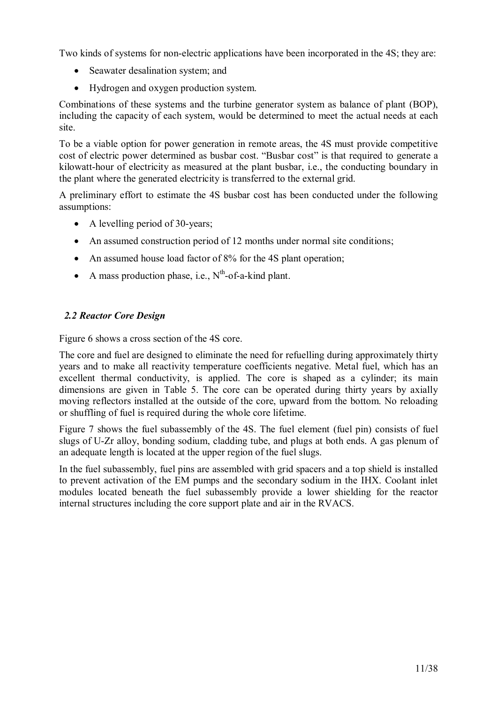Two kinds of systems for non-electric applications have been incorporated in the 4S; they are:

- Seawater desalination system; and
- Hydrogen and oxygen production system.

Combinations of these systems and the turbine generator system as balance of plant (BOP), including the capacity of each system, would be determined to meet the actual needs at each site.

To be a viable option for power generation in remote areas, the 4S must provide competitive cost of electric power determined as busbar cost. "Busbar cost" is that required to generate a kilowatt-hour of electricity as measured at the plant busbar, i.e., the conducting boundary in the plant where the generated electricity is transferred to the external grid.

A preliminary effort to estimate the 4S busbar cost has been conducted under the following assumptions:

- A levelling period of 30-years;
- An assumed construction period of 12 months under normal site conditions;
- An assumed house load factor of 8% for the 4S plant operation;
- A mass production phase, i.e.,  $N^{th}$ -of-a-kind plant.

# *2.2 Reactor Core Design*

Figure 6 shows a cross section of the 4S core.

The core and fuel are designed to eliminate the need for refuelling during approximately thirty years and to make all reactivity temperature coefficients negative. Metal fuel, which has an excellent thermal conductivity, is applied. The core is shaped as a cylinder; its main dimensions are given in Table 5. The core can be operated during thirty years by axially moving reflectors installed at the outside of the core, upward from the bottom. No reloading or shuffling of fuel is required during the whole core lifetime.

Figure 7 shows the fuel subassembly of the 4S. The fuel element (fuel pin) consists of fuel slugs of U-Zr alloy, bonding sodium, cladding tube, and plugs at both ends. A gas plenum of an adequate length is located at the upper region of the fuel slugs.

In the fuel subassembly, fuel pins are assembled with grid spacers and a top shield is installed to prevent activation of the EM pumps and the secondary sodium in the IHX. Coolant inlet modules located beneath the fuel subassembly provide a lower shielding for the reactor internal structures including the core support plate and air in the RVACS.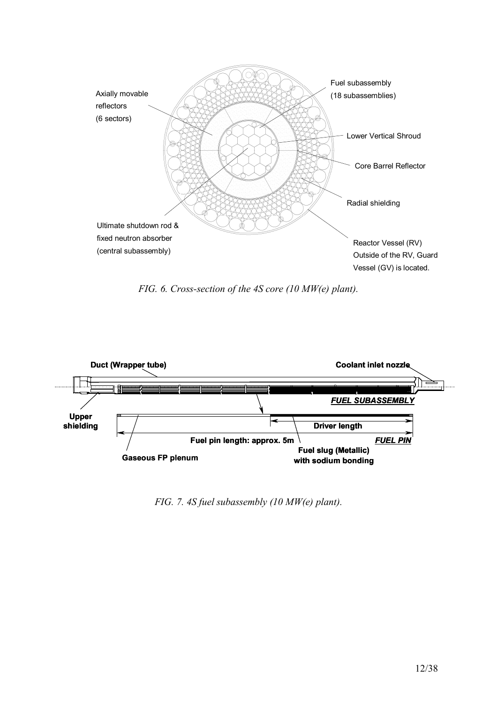

*FIG. 6. Cross-section of the 4S core (10 MW(e) plant).* 



*FIG. 7. 4S fuel subassembly (10 MW(e) plant).*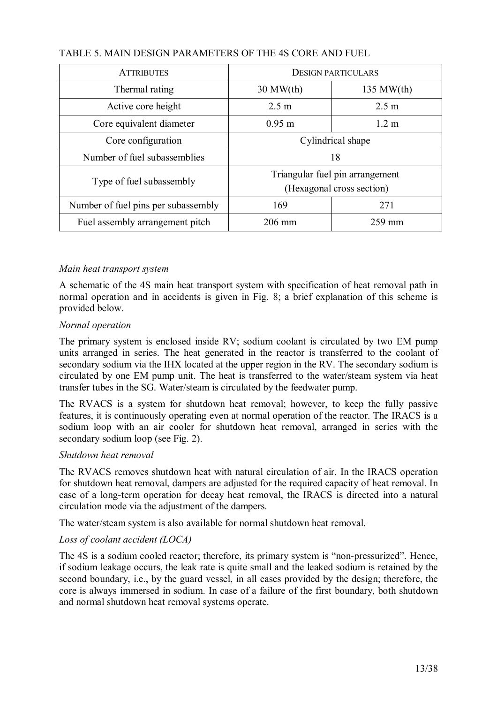| <b>ATTRIBUTES</b>                   | <b>DESIGN PARTICULARS</b> |                                                              |
|-------------------------------------|---------------------------|--------------------------------------------------------------|
| Thermal rating                      | $30$ MW $(th)$            | $135$ MW $(th)$                                              |
| Active core height                  | 2.5 m                     | 2.5 m                                                        |
| Core equivalent diameter            | $0.95 \; \mathrm{m}$      | $1.2 \text{ m}$                                              |
| Core configuration                  |                           | Cylindrical shape                                            |
| Number of fuel subassemblies        |                           | 18                                                           |
| Type of fuel subassembly            |                           | Triangular fuel pin arrangement<br>(Hexagonal cross section) |
| Number of fuel pins per subassembly | 169                       | 271                                                          |
| Fuel assembly arrangement pitch     | $206 \text{ mm}$          | $259$ mm                                                     |

# TABLE 5. MAIN DESIGN PARAMETERS OF THE 4S CORE AND FUEL

# *Main heat transport system*

A schematic of the 4S main heat transport system with specification of heat removal path in normal operation and in accidents is given in Fig. 8; a brief explanation of this scheme is provided below.

### *Normal operation*

The primary system is enclosed inside RV; sodium coolant is circulated by two EM pump units arranged in series. The heat generated in the reactor is transferred to the coolant of secondary sodium via the IHX located at the upper region in the RV. The secondary sodium is circulated by one EM pump unit. The heat is transferred to the water/steam system via heat transfer tubes in the SG. Water/steam is circulated by the feedwater pump.

The RVACS is a system for shutdown heat removal; however, to keep the fully passive features, it is continuously operating even at normal operation of the reactor. The IRACS is a sodium loop with an air cooler for shutdown heat removal, arranged in series with the secondary sodium loop (see Fig. 2).

#### *Shutdown heat removal*

The RVACS removes shutdown heat with natural circulation of air. In the IRACS operation for shutdown heat removal, dampers are adjusted for the required capacity of heat removal. In case of a long-term operation for decay heat removal, the IRACS is directed into a natural circulation mode via the adjustment of the dampers.

The water/steam system is also available for normal shutdown heat removal.

## *Loss of coolant accident (LOCA)*

The 4S is a sodium cooled reactor; therefore, its primary system is "non-pressurized". Hence, if sodium leakage occurs, the leak rate is quite small and the leaked sodium is retained by the second boundary, i.e., by the guard vessel, in all cases provided by the design; therefore, the core is always immersed in sodium. In case of a failure of the first boundary, both shutdown and normal shutdown heat removal systems operate.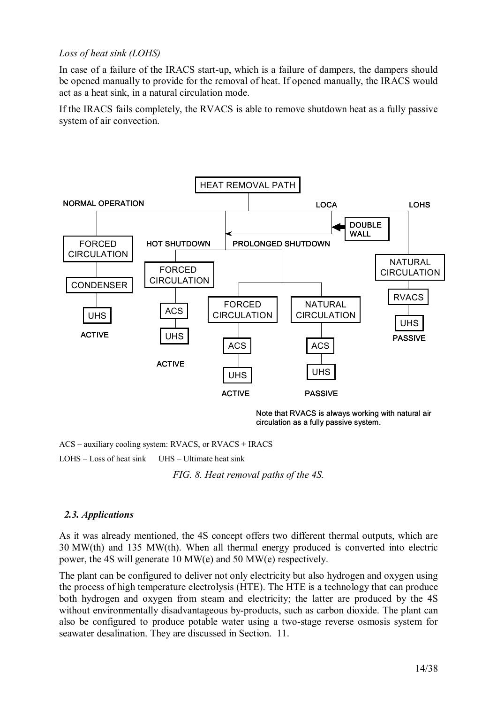# *Loss of heat sink (LOHS)*

In case of a failure of the IRACS start-up, which is a failure of dampers, the dampers should be opened manually to provide for the removal of heat. If opened manually, the IRACS would act as a heat sink, in a natural circulation mode.

If the IRACS fails completely, the RVACS is able to remove shutdown heat as a fully passive system of air convection.



Note that RVACS is always working with natural air circulation as a fully passive system.

ACS – auxiliary cooling system: RVACS, or RVACS + IRACS

LOHS – Loss of heat sink UHS – Ultimate heat sink

*FIG. 8. Heat removal paths of the 4S.* 

## *2.3. Applications*

As it was already mentioned, the 4S concept offers two different thermal outputs, which are 30 MW(th) and 135 MW(th). When all thermal energy produced is converted into electric power, the 4S will generate 10 MW(e) and 50 MW(e) respectively.

The plant can be configured to deliver not only electricity but also hydrogen and oxygen using the process of high temperature electrolysis (HTE). The HTE is a technology that can produce both hydrogen and oxygen from steam and electricity; the latter are produced by the 4S without environmentally disadvantageous by-products, such as carbon dioxide. The plant can also be configured to produce potable water using a two-stage reverse osmosis system for seawater desalination. They are discussed in Section. 11.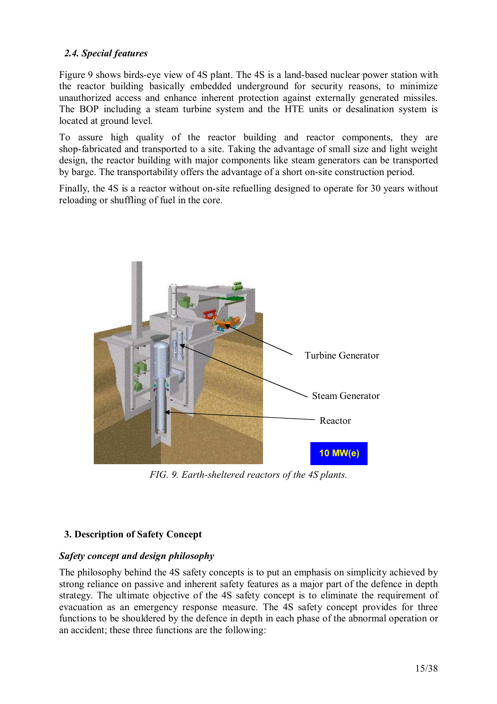# *2.4. Special features*

Figure 9 shows birds-eye view of 4S plant. The 4S is a land-based nuclear power station with the reactor building basically embedded underground for security reasons, to minimize unauthorized access and enhance inherent protection against externally generated missiles. The BOP including a steam turbine system and the HTE units or desalination system is located at ground level.

To assure high quality of the reactor building and reactor components, they are shop-fabricated and transported to a site. Taking the advantage of small size and light weight design, the reactor building with major components like steam generators can be transported by barge. The transportability offers the advantage of a short on-site construction period.

Finally, the 4S is a reactor without on-site refuelling designed to operate for 30 years without reloading or shuffling of fuel in the core.



*FIG. 9. Earth-sheltered reactors of the 4S plants.*

# **3. Description of Safety Concept**

## *Safety concept and design philosophy*

The philosophy behind the 4S safety concepts is to put an emphasis on simplicity achieved by strong reliance on passive and inherent safety features as a major part of the defence in depth strategy. The ultimate objective of the 4S safety concept is to eliminate the requirement of evacuation as an emergency response measure. The 4S safety concept provides for three functions to be shouldered by the defence in depth in each phase of the abnormal operation or an accident; these three functions are the following: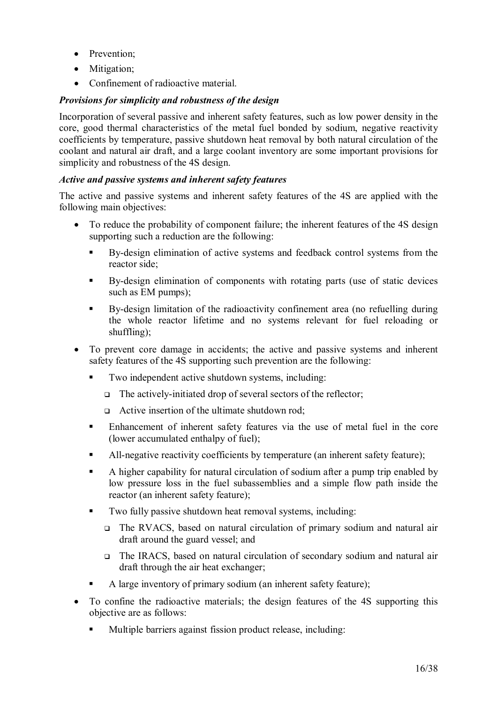- Prevention;
- Mitigation;
- Confinement of radioactive material.

# *Provisions for simplicity and robustness of the design*

Incorporation of several passive and inherent safety features, such as low power density in the core, good thermal characteristics of the metal fuel bonded by sodium, negative reactivity coefficients by temperature, passive shutdown heat removal by both natural circulation of the coolant and natural air draft, and a large coolant inventory are some important provisions for simplicity and robustness of the 4S design.

### *Active and passive systems and inherent safety features*

The active and passive systems and inherent safety features of the 4S are applied with the following main objectives:

- To reduce the probability of component failure; the inherent features of the 4S design supporting such a reduction are the following:
	- By-design elimination of active systems and feedback control systems from the reactor side;
	- By-design elimination of components with rotating parts (use of static devices such as EM pumps);
	- By-design limitation of the radioactivity confinement area (no refuelling during the whole reactor lifetime and no systems relevant for fuel reloading or shuffling);
- To prevent core damage in accidents; the active and passive systems and inherent safety features of the 4S supporting such prevention are the following:
	- Two independent active shutdown systems, including:
		- □ The actively-initiated drop of several sectors of the reflector;
		- □ Active insertion of the ultimate shutdown rod;
	- Enhancement of inherent safety features via the use of metal fuel in the core (lower accumulated enthalpy of fuel);
	- All-negative reactivity coefficients by temperature (an inherent safety feature);
	- A higher capability for natural circulation of sodium after a pump trip enabled by low pressure loss in the fuel subassemblies and a simple flow path inside the reactor (an inherent safety feature);
	- Two fully passive shutdown heat removal systems, including:
		- The RVACS, based on natural circulation of primary sodium and natural air draft around the guard vessel; and
		- The IRACS, based on natural circulation of secondary sodium and natural air draft through the air heat exchanger;
	- A large inventory of primary sodium (an inherent safety feature);
- To confine the radioactive materials; the design features of the 4S supporting this objective are as follows:
	- Multiple barriers against fission product release, including: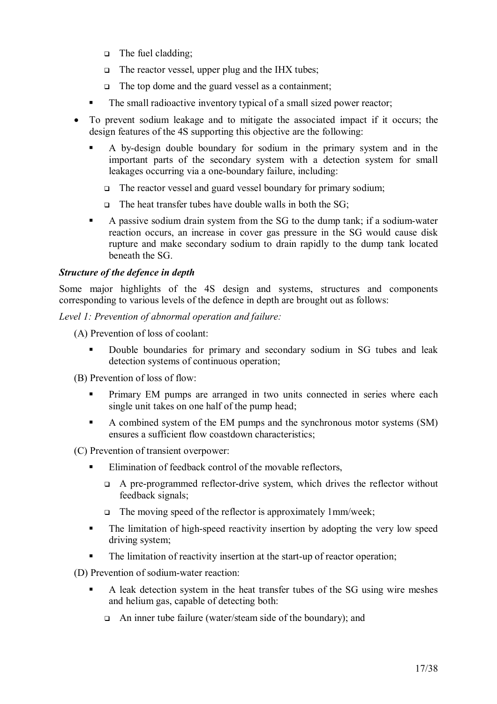- □ The fuel cladding;
- □ The reactor vessel, upper plug and the IHX tubes;
- □ The top dome and the guard vessel as a containment;
- The small radioactive inventory typical of a small sized power reactor;
- To prevent sodium leakage and to mitigate the associated impact if it occurs; the design features of the 4S supporting this objective are the following:
	- A by-design double boundary for sodium in the primary system and in the important parts of the secondary system with a detection system for small leakages occurring via a one-boundary failure, including:
		- The reactor vessel and guard vessel boundary for primary sodium;
		- $\Box$  The heat transfer tubes have double walls in both the SG;
	- A passive sodium drain system from the SG to the dump tank; if a sodium-water reaction occurs, an increase in cover gas pressure in the SG would cause disk rupture and make secondary sodium to drain rapidly to the dump tank located beneath the SG.

## *Structure of the defence in depth*

Some major highlights of the 4S design and systems, structures and components corresponding to various levels of the defence in depth are brought out as follows:

*Level 1: Prevention of abnormal operation and failure:* 

- (A) Prevention of loss of coolant:
	- Double boundaries for primary and secondary sodium in SG tubes and leak detection systems of continuous operation;
- (B) Prevention of loss of flow:
	- **Primary EM pumps are arranged in two units connected in series where each** single unit takes on one half of the pump head;
	- A combined system of the EM pumps and the synchronous motor systems (SM) ensures a sufficient flow coastdown characteristics;

(C) Prevention of transient overpower:

- Elimination of feedback control of the movable reflectors,
	- A pre-programmed reflector-drive system, which drives the reflector without feedback signals;
	- The moving speed of the reflector is approximately 1mm/week;
- The limitation of high-speed reactivity insertion by adopting the very low speed driving system;
- The limitation of reactivity insertion at the start-up of reactor operation;

(D) Prevention of sodium-water reaction:

- A leak detection system in the heat transfer tubes of the SG using wire meshes and helium gas, capable of detecting both:
	- □ An inner tube failure (water/steam side of the boundary); and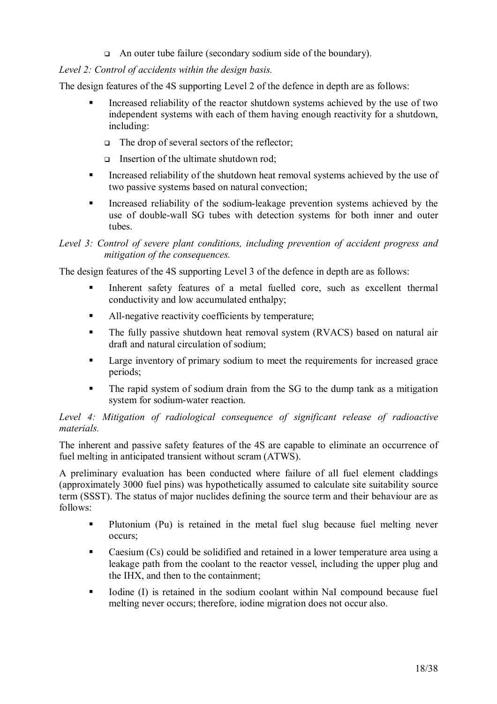□ An outer tube failure (secondary sodium side of the boundary).

# *Level 2: Control of accidents within the design basis.*

The design features of the 4S supporting Level 2 of the defence in depth are as follows:

- Increased reliability of the reactor shutdown systems achieved by the use of two independent systems with each of them having enough reactivity for a shutdown, including:
	- □ The drop of several sectors of the reflector;
	- □ Insertion of the ultimate shutdown rod;
- Increased reliability of the shutdown heat removal systems achieved by the use of two passive systems based on natural convection;
- Increased reliability of the sodium-leakage prevention systems achieved by the use of double-wall SG tubes with detection systems for both inner and outer tubes.

# *Level 3: Control of severe plant conditions, including prevention of accident progress and mitigation of the consequences.*

The design features of the 4S supporting Level 3 of the defence in depth are as follows:

- Inherent safety features of a metal fuelled core, such as excellent thermal conductivity and low accumulated enthalpy;
- All-negative reactivity coefficients by temperature:
- The fully passive shutdown heat removal system (RVACS) based on natural air draft and natural circulation of sodium;
- **Large inventory of primary sodium to meet the requirements for increased grace** periods;
- The rapid system of sodium drain from the SG to the dump tank as a mitigation system for sodium-water reaction.

## *Level 4: Mitigation of radiological consequence of significant release of radioactive materials.*

The inherent and passive safety features of the 4S are capable to eliminate an occurrence of fuel melting in anticipated transient without scram (ATWS).

A preliminary evaluation has been conducted where failure of all fuel element claddings (approximately 3000 fuel pins) was hypothetically assumed to calculate site suitability source term (SSST). The status of major nuclides defining the source term and their behaviour are as follows:

- Plutonium (Pu) is retained in the metal fuel slug because fuel melting never occurs;
- Caesium (Cs) could be solidified and retained in a lower temperature area using a leakage path from the coolant to the reactor vessel, including the upper plug and the IHX, and then to the containment;
- Iodine (I) is retained in the sodium coolant within NaI compound because fuel melting never occurs; therefore, iodine migration does not occur also.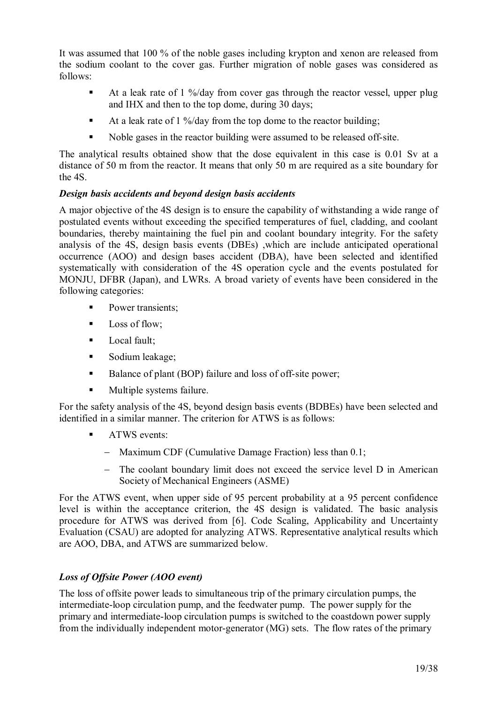It was assumed that 100 % of the noble gases including krypton and xenon are released from the sodium coolant to the cover gas. Further migration of noble gases was considered as follows:

- At a leak rate of 1 %/day from cover gas through the reactor vessel, upper plug and IHX and then to the top dome, during 30 days;
- At a leak rate of 1 %/day from the top dome to the reactor building;
- Noble gases in the reactor building were assumed to be released off-site.

The analytical results obtained show that the dose equivalent in this case is 0.01 Sv at a distance of 50 m from the reactor. It means that only 50 m are required as a site boundary for the 4S.

# *Design basis accidents and beyond design basis accidents*

A major objective of the 4S design is to ensure the capability of withstanding a wide range of postulated events without exceeding the specified temperatures of fuel, cladding, and coolant boundaries, thereby maintaining the fuel pin and coolant boundary integrity. For the safety analysis of the 4S, design basis events (DBEs) ,which are include anticipated operational occurrence (AOO) and design bases accident (DBA), have been selected and identified systematically with consideration of the 4S operation cycle and the events postulated for MONJU, DFBR (Japan), and LWRs. A broad variety of events have been considered in the following categories:

- **Power transients:**
- $\blacksquare$  Loss of flow;
- **Local fault;**
- Sodium leakage;
- Balance of plant (BOP) failure and loss of off-site power:
- **Multiple systems failure.**

For the safety analysis of the 4S, beyond design basis events (BDBEs) have been selected and identified in a similar manner. The criterion for ATWS is as follows:

- **ATWS** events:
	- − Maximum CDF (Cumulative Damage Fraction) less than 0.1;
	- − The coolant boundary limit does not exceed the service level D in American Society of Mechanical Engineers (ASME)

For the ATWS event, when upper side of 95 percent probability at a 95 percent confidence level is within the acceptance criterion, the 4S design is validated. The basic analysis procedure for ATWS was derived from [6]. Code Scaling, Applicability and Uncertainty Evaluation (CSAU) are adopted for analyzing ATWS. Representative analytical results which are AOO, DBA, and ATWS are summarized below.

# *Loss of Offsite Power (AOO event)*

The loss of offsite power leads to simultaneous trip of the primary circulation pumps, the intermediate-loop circulation pump, and the feedwater pump. The power supply for the primary and intermediate-loop circulation pumps is switched to the coastdown power supply from the individually independent motor-generator (MG) sets. The flow rates of the primary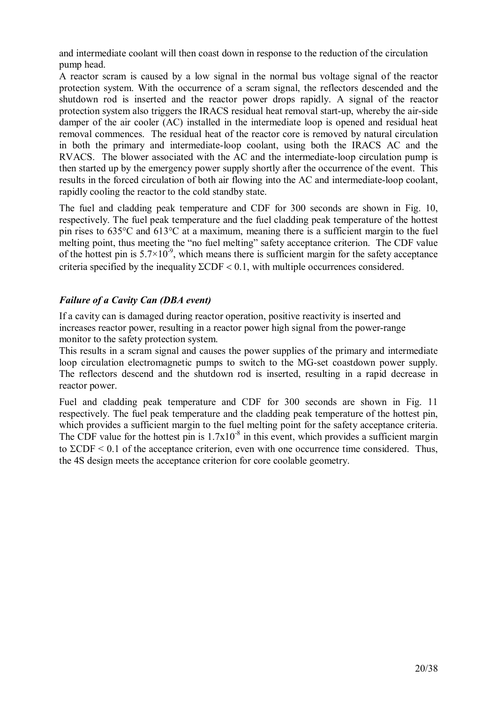and intermediate coolant will then coast down in response to the reduction of the circulation pump head.

A reactor scram is caused by a low signal in the normal bus voltage signal of the reactor protection system. With the occurrence of a scram signal, the reflectors descended and the shutdown rod is inserted and the reactor power drops rapidly. A signal of the reactor protection system also triggers the IRACS residual heat removal start-up, whereby the air-side damper of the air cooler (AC) installed in the intermediate loop is opened and residual heat removal commences. The residual heat of the reactor core is removed by natural circulation in both the primary and intermediate-loop coolant, using both the IRACS AC and the RVACS. The blower associated with the AC and the intermediate-loop circulation pump is then started up by the emergency power supply shortly after the occurrence of the event. This results in the forced circulation of both air flowing into the AC and intermediate-loop coolant, rapidly cooling the reactor to the cold standby state.

The fuel and cladding peak temperature and CDF for 300 seconds are shown in Fig. 10, respectively. The fuel peak temperature and the fuel cladding peak temperature of the hottest pin rises to 635°C and 613°C at a maximum, meaning there is a sufficient margin to the fuel melting point, thus meeting the "no fuel melting" safety acceptance criterion. The CDF value of the hottest pin is  $5.7 \times 10^{-9}$ , which means there is sufficient margin for the safety acceptance criteria specified by the inequality  $\Sigma$ CDF < 0.1, with multiple occurrences considered.

# *Failure of a Cavity Can (DBA event)*

If a cavity can is damaged during reactor operation, positive reactivity is inserted and increases reactor power, resulting in a reactor power high signal from the power-range monitor to the safety protection system.

This results in a scram signal and causes the power supplies of the primary and intermediate loop circulation electromagnetic pumps to switch to the MG-set coastdown power supply. The reflectors descend and the shutdown rod is inserted, resulting in a rapid decrease in reactor power.

Fuel and cladding peak temperature and CDF for 300 seconds are shown in Fig. 11 respectively. The fuel peak temperature and the cladding peak temperature of the hottest pin, which provides a sufficient margin to the fuel melting point for the safety acceptance criteria. The CDF value for the hottest pin is  $1.7x10^{-8}$  in this event, which provides a sufficient margin to  $\Sigma$ CDF < 0.1 of the acceptance criterion, even with one occurrence time considered. Thus, the 4S design meets the acceptance criterion for core coolable geometry.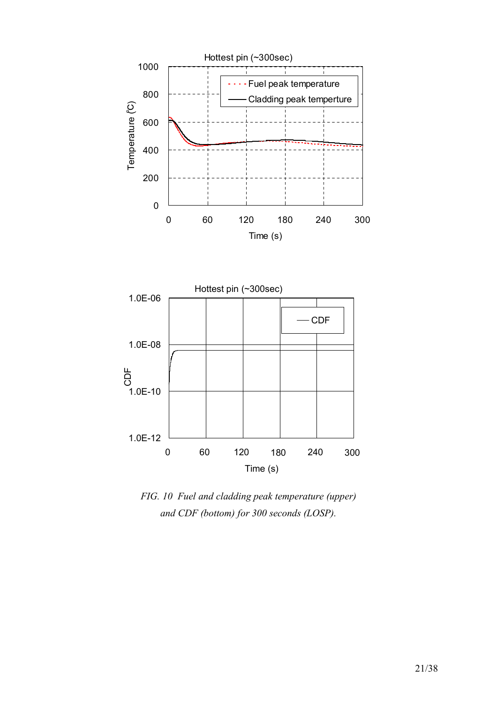



*FIG. 10 Fuel and cladding peak temperature (upper) and CDF (bottom) for 300 seconds (LOSP).*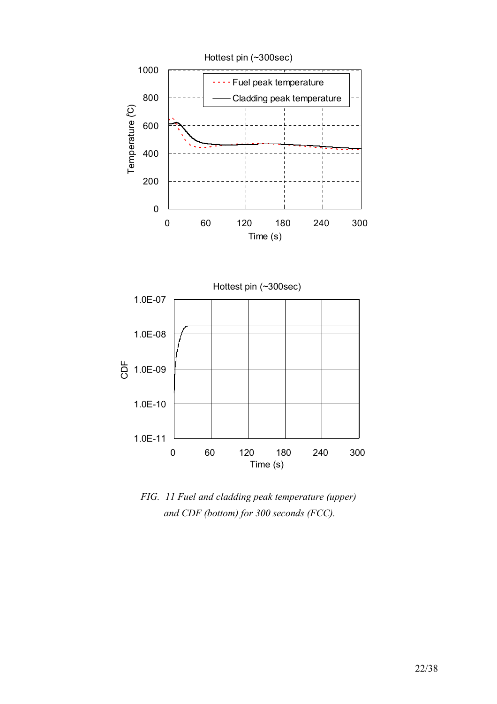



*FIG. 11 Fuel and cladding peak temperature (upper) and CDF (bottom) for 300 seconds (FCC).*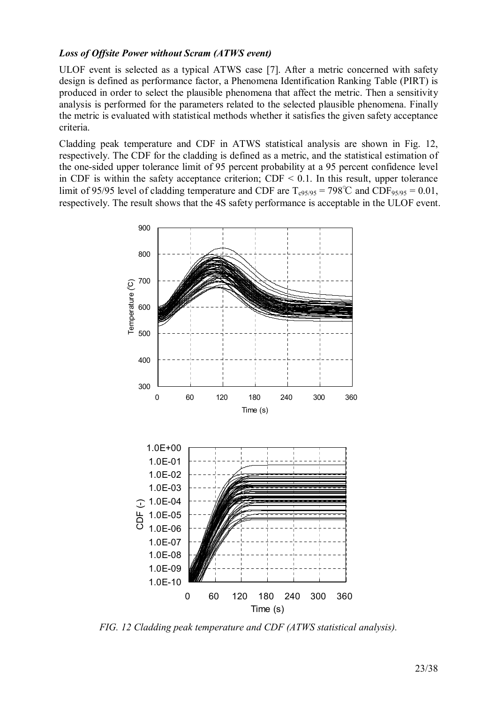# *Loss of Offsite Power without Scram (ATWS event)*

ULOF event is selected as a typical ATWS case [7]. After a metric concerned with safety design is defined as performance factor, a Phenomena Identification Ranking Table (PIRT) is produced in order to select the plausible phenomena that affect the metric. Then a sensitivity analysis is performed for the parameters related to the selected plausible phenomena. Finally the metric is evaluated with statistical methods whether it satisfies the given safety acceptance criteria.

Cladding peak temperature and CDF in ATWS statistical analysis are shown in Fig. 12, respectively. The CDF for the cladding is defined as a metric, and the statistical estimation of the one-sided upper tolerance limit of 95 percent probability at a 95 percent confidence level in CDF is within the safety acceptance criterion;  $CDF < 0.1$ . In this result, upper tolerance limit of 95/95 level of cladding temperature and CDF are  $T_{c95/95} = 798^{\circ}$ C and CDF<sub>95/95</sub> = 0.01, respectively. The result shows that the 4S safety performance is acceptable in the ULOF event.



*FIG. 12 Cladding peak temperature and CDF (ATWS statistical analysis).*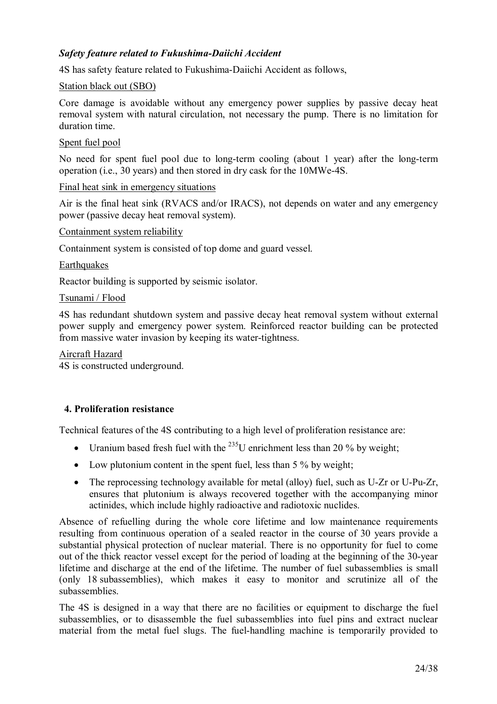# *Safety feature related to Fukushima-Daiichi Accident*

4S has safety feature related to Fukushima-Daiichi Accident as follows,

#### Station black out (SBO)

Core damage is avoidable without any emergency power supplies by passive decay heat removal system with natural circulation, not necessary the pump. There is no limitation for duration time.

### Spent fuel pool

No need for spent fuel pool due to long-term cooling (about 1 year) after the long-term operation (i.e., 30 years) and then stored in dry cask for the 10MWe-4S.

#### Final heat sink in emergency situations

Air is the final heat sink (RVACS and/or IRACS), not depends on water and any emergency power (passive decay heat removal system).

#### Containment system reliability

Containment system is consisted of top dome and guard vessel.

#### **Earthquakes**

Reactor building is supported by seismic isolator.

#### Tsunami / Flood

4S has redundant shutdown system and passive decay heat removal system without external power supply and emergency power system. Reinforced reactor building can be protected from massive water invasion by keeping its water-tightness.

#### Aircraft Hazard

4S is constructed underground.

## **4. Proliferation resistance**

Technical features of the 4S contributing to a high level of proliferation resistance are:

- Uranium based fresh fuel with the  $^{235}$ U enrichment less than 20 % by weight;
- Low plutonium content in the spent fuel, less than 5 % by weight;
- The reprocessing technology available for metal (alloy) fuel, such as U-Zr or U-Pu-Zr, ensures that plutonium is always recovered together with the accompanying minor actinides, which include highly radioactive and radiotoxic nuclides.

Absence of refuelling during the whole core lifetime and low maintenance requirements resulting from continuous operation of a sealed reactor in the course of 30 years provide a substantial physical protection of nuclear material. There is no opportunity for fuel to come out of the thick reactor vessel except for the period of loading at the beginning of the 30-year lifetime and discharge at the end of the lifetime. The number of fuel subassemblies is small (only 18 subassemblies), which makes it easy to monitor and scrutinize all of the subassemblies.

The 4S is designed in a way that there are no facilities or equipment to discharge the fuel subassemblies, or to disassemble the fuel subassemblies into fuel pins and extract nuclear material from the metal fuel slugs. The fuel-handling machine is temporarily provided to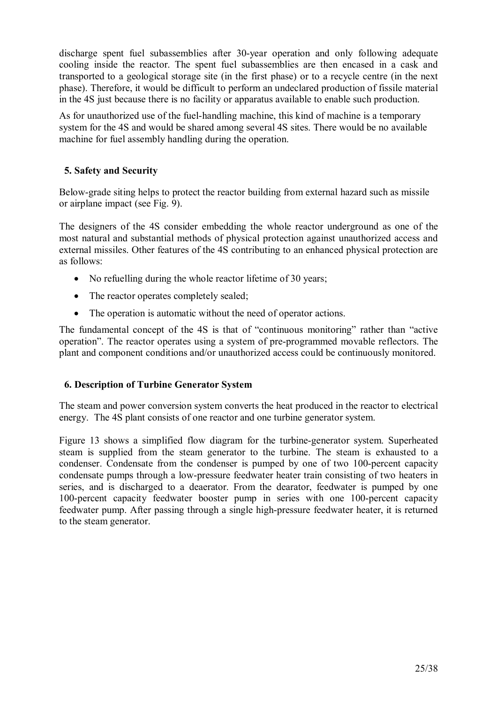discharge spent fuel subassemblies after 30-year operation and only following adequate cooling inside the reactor. The spent fuel subassemblies are then encased in a cask and transported to a geological storage site (in the first phase) or to a recycle centre (in the next phase). Therefore, it would be difficult to perform an undeclared production of fissile material in the 4S just because there is no facility or apparatus available to enable such production.

As for unauthorized use of the fuel-handling machine, this kind of machine is a temporary system for the 4S and would be shared among several 4S sites. There would be no available machine for fuel assembly handling during the operation.

# **5. Safety and Security**

Below-grade siting helps to protect the reactor building from external hazard such as missile or airplane impact (see Fig. 9).

The designers of the 4S consider embedding the whole reactor underground as one of the most natural and substantial methods of physical protection against unauthorized access and external missiles. Other features of the 4S contributing to an enhanced physical protection are as follows:

- No refuelling during the whole reactor lifetime of 30 years;
- The reactor operates completely sealed:
- The operation is automatic without the need of operator actions.

The fundamental concept of the 4S is that of "continuous monitoring" rather than "active operation". The reactor operates using a system of pre-programmed movable reflectors. The plant and component conditions and/or unauthorized access could be continuously monitored.

## **6. Description of Turbine Generator System**

The steam and power conversion system converts the heat produced in the reactor to electrical energy. The 4S plant consists of one reactor and one turbine generator system.

Figure 13 shows a simplified flow diagram for the turbine-generator system. Superheated steam is supplied from the steam generator to the turbine. The steam is exhausted to a condenser. Condensate from the condenser is pumped by one of two 100-percent capacity condensate pumps through a low-pressure feedwater heater train consisting of two heaters in series, and is discharged to a deaerator. From the dearator, feedwater is pumped by one 100-percent capacity feedwater booster pump in series with one 100-percent capacity feedwater pump. After passing through a single high-pressure feedwater heater, it is returned to the steam generator.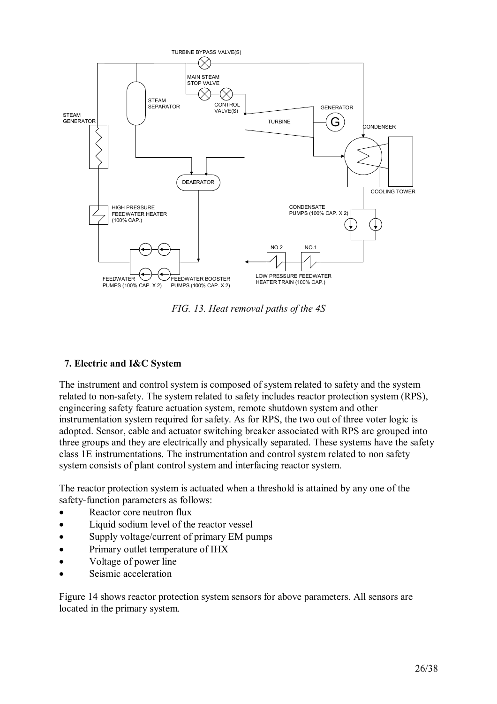

*FIG. 13. Heat removal paths of the 4S*

## **7. Electric and I&C System**

The instrument and control system is composed of system related to safety and the system related to non-safety. The system related to safety includes reactor protection system (RPS), engineering safety feature actuation system, remote shutdown system and other instrumentation system required for safety. As for RPS, the two out of three voter logic is adopted. Sensor, cable and actuator switching breaker associated with RPS are grouped into three groups and they are electrically and physically separated. These systems have the safety class 1E instrumentations. The instrumentation and control system related to non safety system consists of plant control system and interfacing reactor system.

The reactor protection system is actuated when a threshold is attained by any one of the safety-function parameters as follows:

- Reactor core neutron flux
- Liquid sodium level of the reactor vessel
- Supply voltage/current of primary EM pumps
- Primary outlet temperature of IHX
- Voltage of power line
- Seismic acceleration

Figure 14 shows reactor protection system sensors for above parameters. All sensors are located in the primary system.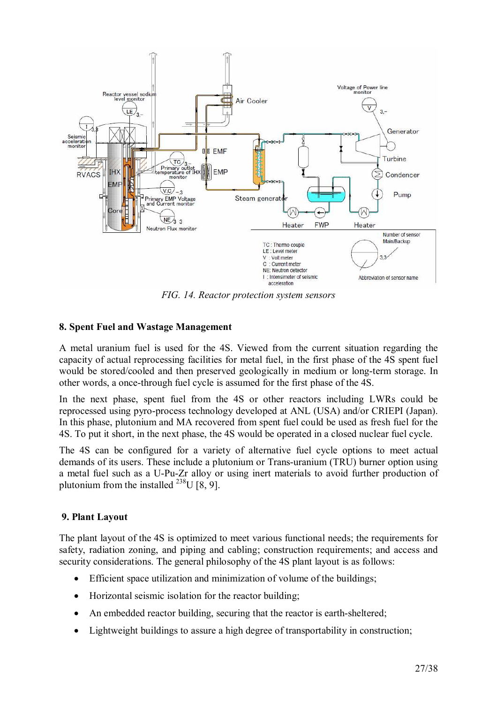

*FIG. 14. Reactor protection system sensors* 

## **8. Spent Fuel and Wastage Management**

A metal uranium fuel is used for the 4S. Viewed from the current situation regarding the capacity of actual reprocessing facilities for metal fuel, in the first phase of the 4S spent fuel would be stored/cooled and then preserved geologically in medium or long-term storage. In other words, a once-through fuel cycle is assumed for the first phase of the 4S.

In the next phase, spent fuel from the 4S or other reactors including LWRs could be reprocessed using pyro-process technology developed at ANL (USA) and/or CRIEPI (Japan). In this phase, plutonium and MA recovered from spent fuel could be used as fresh fuel for the 4S. To put it short, in the next phase, the 4S would be operated in a closed nuclear fuel cycle.

The 4S can be configured for a variety of alternative fuel cycle options to meet actual demands of its users. These include a plutonium or Trans-uranium (TRU) burner option using a metal fuel such as a U-Pu-Zr alloy or using inert materials to avoid further production of plutonium from the installed <sup>238</sup>U [8, 9].

## **9. Plant Layout**

The plant layout of the 4S is optimized to meet various functional needs; the requirements for safety, radiation zoning, and piping and cabling; construction requirements; and access and security considerations. The general philosophy of the 4S plant layout is as follows:

- Efficient space utilization and minimization of volume of the buildings;
- Horizontal seismic isolation for the reactor building;
- An embedded reactor building, securing that the reactor is earth-sheltered;
- Lightweight buildings to assure a high degree of transportability in construction;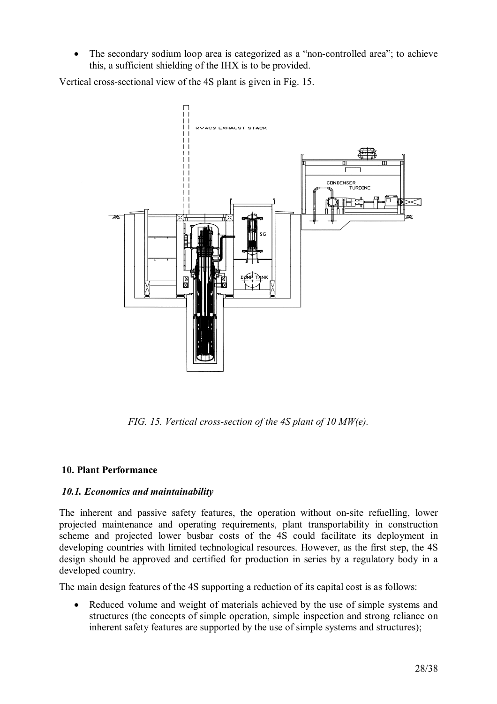• The secondary sodium loop area is categorized as a "non-controlled area"; to achieve this, a sufficient shielding of the IHX is to be provided.

Vertical cross-sectional view of the 4S plant is given in Fig. 15.



*FIG. 15. Vertical cross-section of the 4S plant of 10 MW(e).* 

## **10. Plant Performance**

## *10.1. Economics and maintainability*

The inherent and passive safety features, the operation without on-site refuelling, lower projected maintenance and operating requirements, plant transportability in construction scheme and projected lower busbar costs of the 4S could facilitate its deployment in developing countries with limited technological resources. However, as the first step, the 4S design should be approved and certified for production in series by a regulatory body in a developed country.

The main design features of the 4S supporting a reduction of its capital cost is as follows:

• Reduced volume and weight of materials achieved by the use of simple systems and structures (the concepts of simple operation, simple inspection and strong reliance on inherent safety features are supported by the use of simple systems and structures);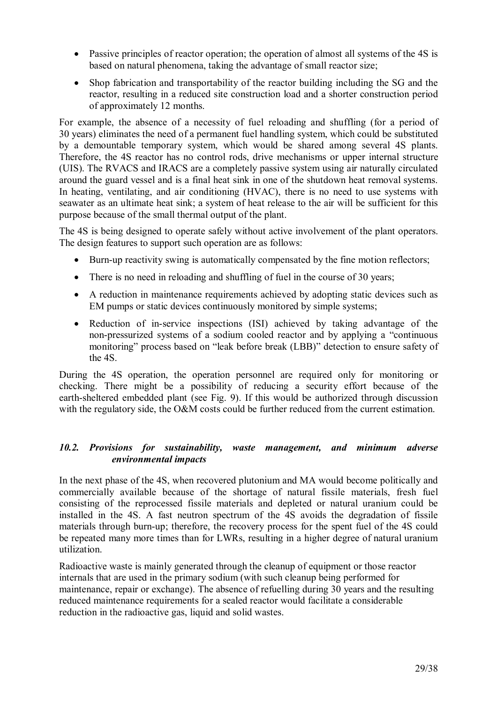- Passive principles of reactor operation; the operation of almost all systems of the 4S is based on natural phenomena, taking the advantage of small reactor size;
- Shop fabrication and transportability of the reactor building including the SG and the reactor, resulting in a reduced site construction load and a shorter construction period of approximately 12 months.

For example, the absence of a necessity of fuel reloading and shuffling (for a period of 30 years) eliminates the need of a permanent fuel handling system, which could be substituted by a demountable temporary system, which would be shared among several 4S plants. Therefore, the 4S reactor has no control rods, drive mechanisms or upper internal structure (UIS). The RVACS and IRACS are a completely passive system using air naturally circulated around the guard vessel and is a final heat sink in one of the shutdown heat removal systems. In heating, ventilating, and air conditioning (HVAC), there is no need to use systems with seawater as an ultimate heat sink; a system of heat release to the air will be sufficient for this purpose because of the small thermal output of the plant.

The 4S is being designed to operate safely without active involvement of the plant operators. The design features to support such operation are as follows:

- Burn-up reactivity swing is automatically compensated by the fine motion reflectors;
- There is no need in reloading and shuffling of fuel in the course of 30 years;
- A reduction in maintenance requirements achieved by adopting static devices such as EM pumps or static devices continuously monitored by simple systems;
- Reduction of in-service inspections (ISI) achieved by taking advantage of the non-pressurized systems of a sodium cooled reactor and by applying a "continuous monitoring" process based on "leak before break (LBB)" detection to ensure safety of the 4S.

During the 4S operation, the operation personnel are required only for monitoring or checking. There might be a possibility of reducing a security effort because of the earth-sheltered embedded plant (see Fig. 9). If this would be authorized through discussion with the regulatory side, the O&M costs could be further reduced from the current estimation.

## *10.2. Provisions for sustainability, waste management, and minimum adverse environmental impacts*

In the next phase of the 4S, when recovered plutonium and MA would become politically and commercially available because of the shortage of natural fissile materials, fresh fuel consisting of the reprocessed fissile materials and depleted or natural uranium could be installed in the 4S. A fast neutron spectrum of the 4S avoids the degradation of fissile materials through burn-up; therefore, the recovery process for the spent fuel of the 4S could be repeated many more times than for LWRs, resulting in a higher degree of natural uranium utilization.

Radioactive waste is mainly generated through the cleanup of equipment or those reactor internals that are used in the primary sodium (with such cleanup being performed for maintenance, repair or exchange). The absence of refuelling during 30 years and the resulting reduced maintenance requirements for a sealed reactor would facilitate a considerable reduction in the radioactive gas, liquid and solid wastes.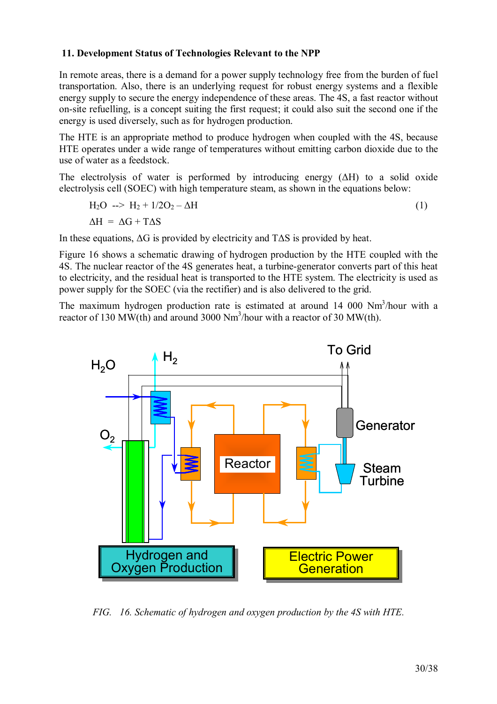# **11. Development Status of Technologies Relevant to the NPP**

In remote areas, there is a demand for a power supply technology free from the burden of fuel transportation. Also, there is an underlying request for robust energy systems and a flexible energy supply to secure the energy independence of these areas. The 4S, a fast reactor without on-site refuelling, is a concept suiting the first request; it could also suit the second one if the energy is used diversely, such as for hydrogen production.

The HTE is an appropriate method to produce hydrogen when coupled with the 4S, because HTE operates under a wide range of temperatures without emitting carbon dioxide due to the use of water as a feedstock.

The electrolysis of water is performed by introducing energy (∆H) to a solid oxide electrolysis cell (SOEC) with high temperature steam, as shown in the equations below:

$$
H_2O \longrightarrow H_2 + 1/2O_2 - \Delta H
$$
  
\n
$$
\Delta H = \Delta G + T\Delta S
$$
\n(1)

In these equations, ∆G is provided by electricity and T∆S is provided by heat.

Figure 16 shows a schematic drawing of hydrogen production by the HTE coupled with the 4S. The nuclear reactor of the 4S generates heat, a turbine-generator converts part of this heat to electricity, and the residual heat is transported to the HTE system. The electricity is used as power supply for the SOEC (via the rectifier) and is also delivered to the grid.

The maximum hydrogen production rate is estimated at around  $14\,000\,$  Nm<sup>3</sup>/hour with a reactor of 130 MW(th) and around 3000 Nm<sup>3</sup>/hour with a reactor of 30 MW(th).



*FIG. 16. Schematic of hydrogen and oxygen production by the 4S with HTE.*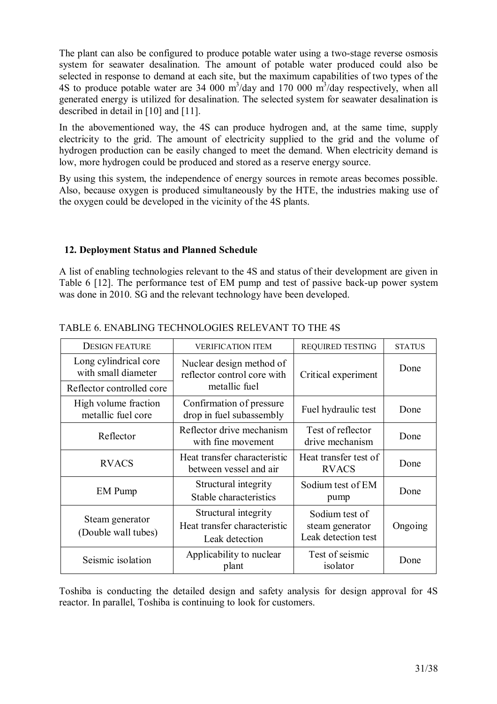The plant can also be configured to produce potable water using a two-stage reverse osmosis system for seawater desalination. The amount of potable water produced could also be selected in response to demand at each site, but the maximum capabilities of two types of the 4S to produce potable water are 34 000  $\text{m}^3/\text{day}$  and 170 000  $\text{m}^3/\text{day}$  respectively, when all generated energy is utilized for desalination. The selected system for seawater desalination is described in detail in [10] and [11].

In the abovementioned way, the 4S can produce hydrogen and, at the same time, supply electricity to the grid. The amount of electricity supplied to the grid and the volume of hydrogen production can be easily changed to meet the demand. When electricity demand is low, more hydrogen could be produced and stored as a reserve energy source.

By using this system, the independence of energy sources in remote areas becomes possible. Also, because oxygen is produced simultaneously by the HTE, the industries making use of the oxygen could be developed in the vicinity of the 4S plants.

# **12. Deployment Status and Planned Schedule**

A list of enabling technologies relevant to the 4S and status of their development are given in Table 6 [12]. The performance test of EM pump and test of passive back-up power system was done in 2010. SG and the relevant technology have been developed.

| <b>DESIGN FEATURE</b>                        | <b>VERIFICATION ITEM</b>                                               | <b>REQUIRED TESTING</b>                                  | <b>STATUS</b> |
|----------------------------------------------|------------------------------------------------------------------------|----------------------------------------------------------|---------------|
| Long cylindrical core<br>with small diameter | Nuclear design method of<br>reflector control core with                | Critical experiment                                      | Done          |
| Reflector controlled core                    | metallic fuel                                                          |                                                          |               |
| High volume fraction<br>metallic fuel core   | Confirmation of pressure<br>drop in fuel subassembly                   | Fuel hydraulic test                                      | Done          |
| Reflector                                    | Reflector drive mechanism<br>with fine movement                        | Test of reflector<br>drive mechanism                     | Done          |
| <b>RVACS</b>                                 | Heat transfer characteristic<br>between vessel and air                 | Heat transfer test of<br><b>RVACS</b>                    | Done          |
| <b>EM</b> Pump                               | Structural integrity<br>Stable characteristics                         | Sodium test of EM<br>pump                                | Done          |
| Steam generator<br>(Double wall tubes)       | Structural integrity<br>Heat transfer characteristic<br>Leak detection | Sodium test of<br>steam generator<br>Leak detection test | Ongoing       |
| Seismic isolation                            | Applicability to nuclear<br>plant                                      | Test of seismic<br>isolator                              | Done          |

## TABLE 6. ENABLING TECHNOLOGIES RELEVANT TO THE 4S

Toshiba is conducting the detailed design and safety analysis for design approval for 4S reactor. In parallel, Toshiba is continuing to look for customers.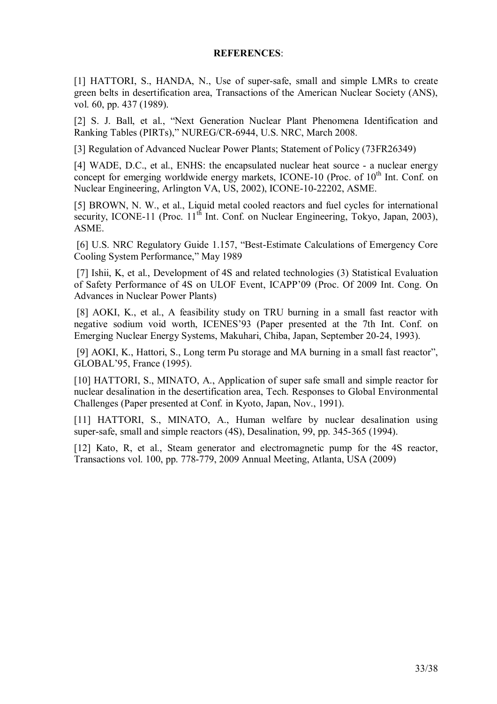#### **REFERENCES**:

[1] HATTORI, S., HANDA, N., Use of super-safe, small and simple LMRs to create green belts in desertification area, Transactions of the American Nuclear Society (ANS), vol. 60, pp. 437 (1989).

[2] S. J. Ball, et al., "Next Generation Nuclear Plant Phenomena Identification and Ranking Tables (PIRTs)," NUREG/CR-6944, U.S. NRC, March 2008.

[3] Regulation of Advanced Nuclear Power Plants; Statement of Policy (73FR26349)

[4] WADE, D.C., et al., ENHS: the encapsulated nuclear heat source - a nuclear energy concept for emerging worldwide energy markets, ICONE-10 (Proc. of 10<sup>th</sup> Int. Conf. on Nuclear Engineering, Arlington VA, US, 2002), ICONE-10-22202, ASME.

[5] BROWN, N. W., et al., Liquid metal cooled reactors and fuel cycles for international security, ICONE-11 (Proc.  $11<sup>th</sup>$  Int. Conf. on Nuclear Engineering, Tokyo, Japan, 2003), ASME.

 [6] U.S. NRC Regulatory Guide 1.157, "Best-Estimate Calculations of Emergency Core Cooling System Performance," May 1989

 [7] Ishii, K, et al., Development of 4S and related technologies (3) Statistical Evaluation of Safety Performance of 4S on ULOF Event, ICAPP'09 (Proc. Of 2009 Int. Cong. On Advances in Nuclear Power Plants)

 [8] AOKI, K., et al., A feasibility study on TRU burning in a small fast reactor with negative sodium void worth, ICENES'93 (Paper presented at the 7th Int. Conf. on Emerging Nuclear Energy Systems, Makuhari, Chiba, Japan, September 20-24, 1993).

 [9] AOKI, K., Hattori, S., Long term Pu storage and MA burning in a small fast reactor", GLOBAL'95, France (1995).

[10] HATTORI, S., MINATO, A., Application of super safe small and simple reactor for nuclear desalination in the desertification area, Tech. Responses to Global Environmental Challenges (Paper presented at Conf. in Kyoto, Japan, Nov., 1991).

[11] HATTORI, S., MINATO, A., Human welfare by nuclear desalination using super-safe, small and simple reactors (4S), Desalination, 99, pp. 345-365 (1994).

[12] Kato, R, et al., Steam generator and electromagnetic pump for the 4S reactor, Transactions vol. 100, pp. 778-779, 2009 Annual Meeting, Atlanta, USA (2009)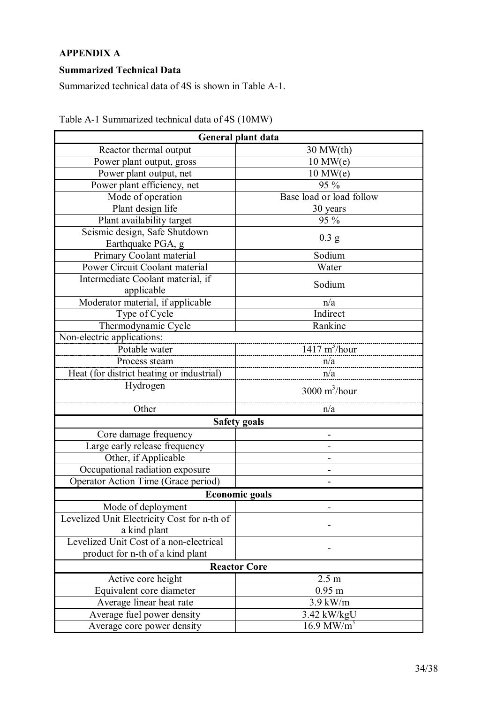# **APPENDIX A**

# **Summarized Technical Data**

Summarized technical data of 4S is shown in Table A-1.

| General plant data                          |                                |  |
|---------------------------------------------|--------------------------------|--|
| Reactor thermal output                      | $30$ MW $(th)$                 |  |
| Power plant output, gross                   | $10$ MW $(e)$                  |  |
| Power plant output, net                     | $10$ MW $(e)$                  |  |
| Power plant efficiency, net                 | 95 %                           |  |
| Mode of operation                           | Base load or load follow       |  |
| Plant design life                           | 30 years                       |  |
| Plant availability target                   | 95 %                           |  |
| Seismic design, Safe Shutdown               |                                |  |
| Earthquake PGA, g                           | 0.3 <sub>g</sub>               |  |
| Primary Coolant material                    | Sodium                         |  |
| Power Circuit Coolant material              | Water                          |  |
| Intermediate Coolant material, if           |                                |  |
| applicable                                  | Sodium                         |  |
| Moderator material, if applicable           | n/a                            |  |
| Type of Cycle                               | Indirect                       |  |
| Thermodynamic Cycle                         | Rankine                        |  |
| Non-electric applications:                  |                                |  |
| Potable water                               | $1417 \text{ m}^3$ /hour       |  |
| Process steam                               | n/a                            |  |
| Heat (for district heating or industrial)   | n/a                            |  |
| Hydrogen                                    | $3000 \text{ m}^3/\text{hour}$ |  |
| Other                                       | n/a                            |  |
| <b>Safety goals</b>                         |                                |  |
| Core damage frequency                       |                                |  |
| Large early release frequency               |                                |  |
| Other, if Applicable                        |                                |  |
| Occupational radiation exposure             |                                |  |
| Operator Action Time (Grace period)         |                                |  |
| <b>Economic goals</b>                       |                                |  |
| Mode of deployment                          |                                |  |
| Levelized Unit Electricity Cost for n-th of |                                |  |
| a kind plant                                |                                |  |
| Levelized Unit Cost of a non-electrical     |                                |  |
| product for n-th of a kind plant            |                                |  |
| <b>Reactor Core</b>                         |                                |  |
| Active core height                          | 2.5 <sub>m</sub>               |  |
| Equivalent core diameter                    | $0.95$ m                       |  |
| Average linear heat rate                    | $3.9$ kW/m                     |  |
| Average fuel power density                  | 3.42 kW/kgU                    |  |
| Average core power density                  | $16.9 \text{ MW/m}^3$          |  |

Table A-1 Summarized technical data of 4S (10MW)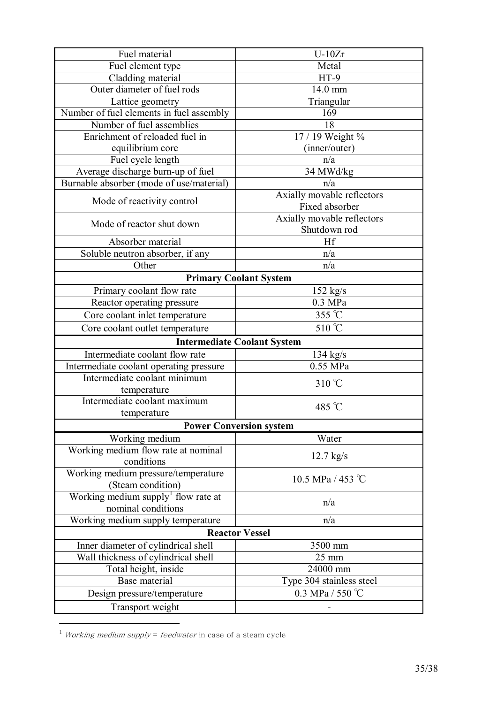| Fuel material                                                                      | $U-10Zr$                       |  |
|------------------------------------------------------------------------------------|--------------------------------|--|
| Fuel element type                                                                  | Metal                          |  |
| Cladding material                                                                  | $HT-9$                         |  |
| Outer diameter of fuel rods                                                        | 14.0 mm                        |  |
| Lattice geometry                                                                   | Triangular                     |  |
| Number of fuel elements in fuel assembly                                           | 169                            |  |
| Number of fuel assemblies                                                          | 18                             |  |
| Enrichment of reloaded fuel in                                                     | 17 / 19 Weight %               |  |
| equilibrium core                                                                   | (inner/outer)                  |  |
| Fuel cycle length                                                                  | n/a                            |  |
| Average discharge burn-up of fuel                                                  | 34 MWd/kg                      |  |
| Burnable absorber (mode of use/material)                                           | n/a                            |  |
|                                                                                    | Axially movable reflectors     |  |
| Mode of reactivity control                                                         | Fixed absorber                 |  |
|                                                                                    | Axially movable reflectors     |  |
| Mode of reactor shut down                                                          | Shutdown rod                   |  |
| Absorber material                                                                  | Hf                             |  |
| Soluble neutron absorber, if any                                                   | n/a                            |  |
| Other                                                                              | n/a                            |  |
|                                                                                    | <b>Primary Coolant System</b>  |  |
| Primary coolant flow rate                                                          | $152$ kg/s                     |  |
| Reactor operating pressure                                                         | $0.3$ MPa                      |  |
| Core coolant inlet temperature                                                     | 355 °C                         |  |
| Core coolant outlet temperature                                                    | 510 °C                         |  |
|                                                                                    |                                |  |
| <b>Intermediate Coolant System</b><br>Intermediate coolant flow rate<br>$134$ kg/s |                                |  |
| Intermediate coolant operating pressure                                            | $\overline{0.55}$ MPa          |  |
| Intermediate coolant minimum                                                       |                                |  |
| temperature                                                                        | $310^{\circ}$ C                |  |
| Intermediate coolant maximum                                                       |                                |  |
| temperature                                                                        | 485 °C                         |  |
|                                                                                    | <b>Power Conversion system</b> |  |
| Working medium                                                                     | Water                          |  |
| Working medium flow rate at nominal                                                |                                |  |
| conditions                                                                         | $12.7$ kg/s                    |  |
| Working medium pressure/temperature                                                |                                |  |
| (Steam condition)                                                                  | 10.5 MPa / 453 °C              |  |
| Working medium supply <sup>1</sup> flow rate at                                    |                                |  |
| nominal conditions                                                                 | n/a                            |  |
| Working medium supply temperature                                                  | n/a                            |  |
|                                                                                    | <b>Reactor Vessel</b>          |  |
| Inner diameter of cylindrical shell                                                | 3500 mm                        |  |
| Wall thickness of cylindrical shell                                                | $25 \text{ mm}$                |  |
| Total height, inside                                                               | 24000 mm                       |  |
| Base material                                                                      | Type 304 stainless steel       |  |
| Design pressure/temperature                                                        | 0.3 MPa / 550 $^{\circ}$ C     |  |
|                                                                                    |                                |  |
| Transport weight                                                                   |                                |  |

 $1$  *Working medium supply = feedwater* in case of a steam cycle

 $\overline{a}$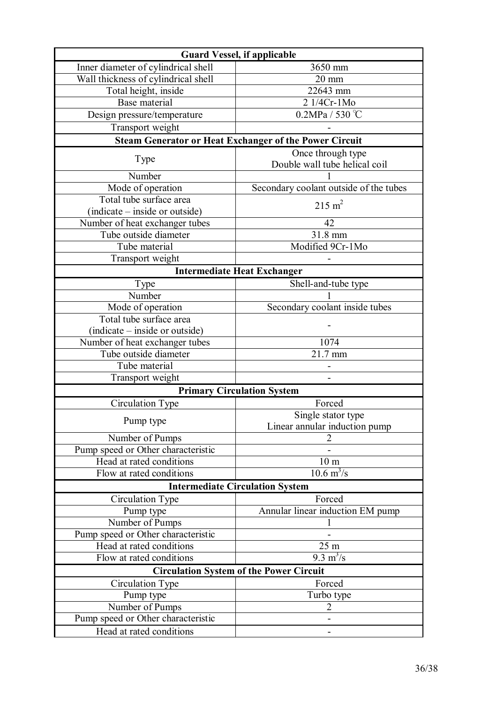| <b>Guard Vessel, if applicable</b>     |                                                               |  |
|----------------------------------------|---------------------------------------------------------------|--|
| Inner diameter of cylindrical shell    | 3650 mm                                                       |  |
| Wall thickness of cylindrical shell    | $20 \text{ mm}$                                               |  |
| Total height, inside                   | 22643 mm                                                      |  |
| Base material                          | 2 1/4Cr-1Mo                                                   |  |
| Design pressure/temperature            | $0.2MPa / 530^{\circ}C$                                       |  |
| Transport weight                       |                                                               |  |
|                                        | <b>Steam Generator or Heat Exchanger of the Power Circuit</b> |  |
| Type                                   | Once through type<br>Double wall tube helical coil            |  |
| Number                                 |                                                               |  |
| Mode of operation                      | Secondary coolant outside of the tubes                        |  |
| Total tube surface area                | $215 \text{ m}^2$                                             |  |
| (indicate – inside or outside)         |                                                               |  |
| Number of heat exchanger tubes         | 42                                                            |  |
| Tube outside diameter                  | 31.8 mm                                                       |  |
| Tube material                          | Modified 9Cr-1Mo                                              |  |
| Transport weight                       |                                                               |  |
|                                        | <b>Intermediate Heat Exchanger</b>                            |  |
| Type                                   | Shell-and-tube type                                           |  |
| Number                                 |                                                               |  |
| Mode of operation                      | Secondary coolant inside tubes                                |  |
| Total tube surface area                |                                                               |  |
| (indicate – inside or outside)         |                                                               |  |
| Number of heat exchanger tubes         | 1074                                                          |  |
| Tube outside diameter                  | 21.7 mm                                                       |  |
| Tube material                          |                                                               |  |
| Transport weight                       |                                                               |  |
| <b>Primary Circulation System</b>      |                                                               |  |
| Circulation Type                       | Forced                                                        |  |
| Pump type                              | Single stator type<br>Linear annular induction pump           |  |
| Number of Pumps                        |                                                               |  |
| Pump speed or Other characteristic     |                                                               |  |
| Head at rated conditions               | 10 <sub>m</sub>                                               |  |
| Flow at rated conditions               | $10.6 \text{ m}^3/\text{s}$                                   |  |
| <b>Intermediate Circulation System</b> |                                                               |  |
| Circulation Type                       | Forced                                                        |  |
| Pump type                              | Annular linear induction EM pump                              |  |
| Number of Pumps                        |                                                               |  |
| Pump speed or Other characteristic     |                                                               |  |
| Head at rated conditions               | 25 <sub>m</sub>                                               |  |
| Flow at rated conditions               | $9.\overline{3} \text{ m}^3/\text{s}$                         |  |
|                                        | <b>Circulation System of the Power Circuit</b>                |  |
| Circulation Type                       | Forced                                                        |  |
| Pump type                              | Turbo type                                                    |  |
| Number of Pumps                        | $\overline{2}$                                                |  |
| Pump speed or Other characteristic     |                                                               |  |
| Head at rated conditions               |                                                               |  |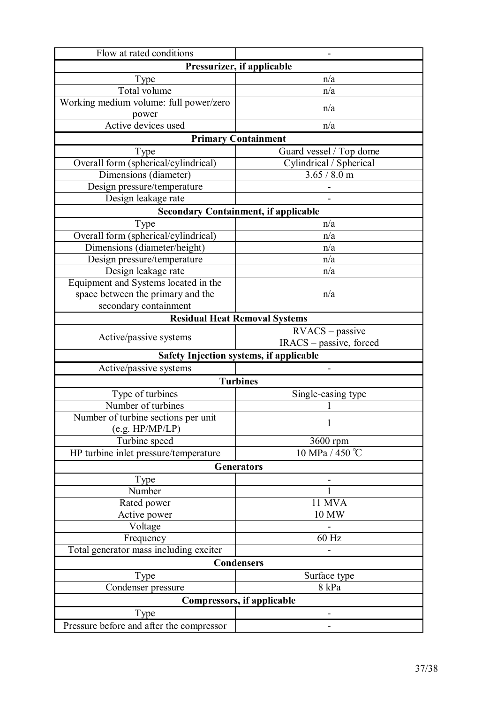| Flow at rated conditions                 |                                             |  |
|------------------------------------------|---------------------------------------------|--|
| Pressurizer, if applicable               |                                             |  |
| Type                                     | n/a                                         |  |
| Total volume                             | n/a                                         |  |
| Working medium volume: full power/zero   | n/a                                         |  |
| power                                    |                                             |  |
| Active devices used                      | n/a                                         |  |
|                                          | <b>Primary Containment</b>                  |  |
| Type                                     | Guard vessel / Top dome                     |  |
| Overall form (spherical/cylindrical)     | Cylindrical / Spherical                     |  |
| Dimensions (diameter)                    | 3.65 / 8.0 m                                |  |
| Design pressure/temperature              |                                             |  |
| Design leakage rate                      |                                             |  |
|                                          | <b>Secondary Containment, if applicable</b> |  |
| Type                                     | n/a                                         |  |
| Overall form (spherical/cylindrical)     | n/a                                         |  |
| Dimensions (diameter/height)             | n/a                                         |  |
| Design pressure/temperature              | n/a                                         |  |
| Design leakage rate                      | n/a                                         |  |
| Equipment and Systems located in the     |                                             |  |
| space between the primary and the        | n/a                                         |  |
| secondary containment                    |                                             |  |
|                                          | <b>Residual Heat Removal Systems</b>        |  |
| Active/passive systems                   | $RVACS - passive$                           |  |
|                                          | IRACS – passive, forced                     |  |
|                                          | Safety Injection systems, if applicable     |  |
| Active/passive systems                   |                                             |  |
|                                          | <b>Turbines</b>                             |  |
| Type of turbines                         | Single-casing type                          |  |
| Number of turbines                       |                                             |  |
| Number of turbine sections per unit      | $\mathbf{1}$                                |  |
| (e.g. HP/MP/LP)                          |                                             |  |
| Turbine speed                            | 3600 rpm                                    |  |
| HP turbine inlet pressure/temperature    | 10 MPa / 450 °C                             |  |
| <b>Generators</b>                        |                                             |  |
| Type                                     |                                             |  |
| Number                                   |                                             |  |
| Rated power                              | 11 MVA                                      |  |
| Active power                             | 10 MW                                       |  |
| Voltage                                  |                                             |  |
| Frequency                                | 60 Hz                                       |  |
| Total generator mass including exciter   |                                             |  |
|                                          | <b>Condensers</b>                           |  |
| Type                                     | Surface type                                |  |
| Condenser pressure                       | 8 kPa                                       |  |
|                                          | <b>Compressors, if applicable</b>           |  |
| Type                                     |                                             |  |
| Pressure before and after the compressor |                                             |  |